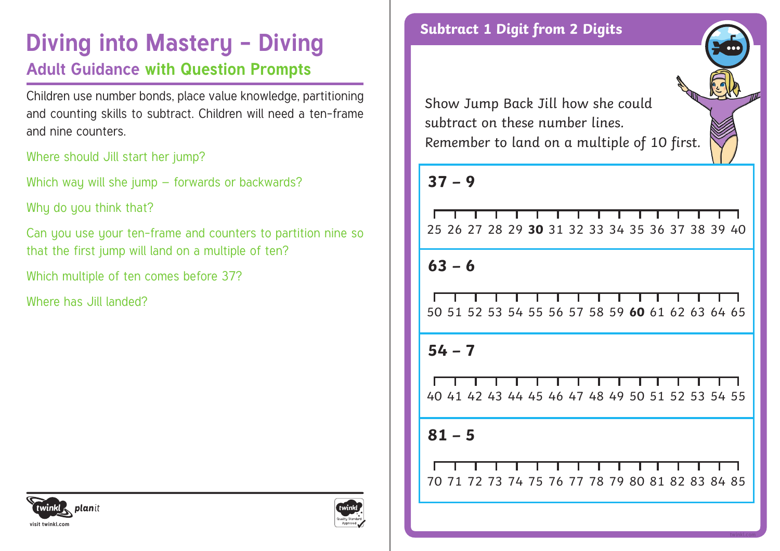## **Diving into Mastery - Diving and Subtract 1 Digit from 2 Digits Adult Guidance with Question Prompts**

Children use number bonds, place value knowledge, partitioning and counting skills to subtract. Children will need a ten-frame and nine counters.

Where should Jill start her jump?

Which way will she jump – forwards or backwards?

Why do you think that?

Can you use your ten-frame and counters to partition nine so that the first jump will land on a multiple of ten?

Which multiple of ten comes before 37?

Where has Jill landed?



Show Jump Back Jill how she could subtract on these number lines. Remember to land on a multiple of 10 first.

### **37 – 9**

|  |  |  |  | ______________________________                  |  |  |  |
|--|--|--|--|-------------------------------------------------|--|--|--|
|  |  |  |  | 25 26 27 28 29 30 31 32 33 34 35 36 37 38 39 40 |  |  |  |

**63 – 6**

|  |  |  |  |  | <u> I wa matu wa mshini wa matu wa Mareji ya Mareji ya Mareji ya Mareji ya Mareji ya Mareji ya Mareji ya Mareji ya Mareji ya Mareji ya Mareji ya Mareji ya Mareji ya Mareji ya Mareji ya Mareji ya Mareji ya Mareji ya Mareji ya</u> |  |  |
|--|--|--|--|--|--------------------------------------------------------------------------------------------------------------------------------------------------------------------------------------------------------------------------------------|--|--|
|  |  |  |  |  | 50 51 52 53 54 55 56 57 58 59 <b>60</b> 61 62 63 64 65                                                                                                                                                                               |  |  |

**54 – 7**

40 41 42 43 44 45 46 47 48 49 50 51 52 53 54 55

**81 – 5**

71 72 73 74 75 76 77 78 79 80 81 82 83 84 85

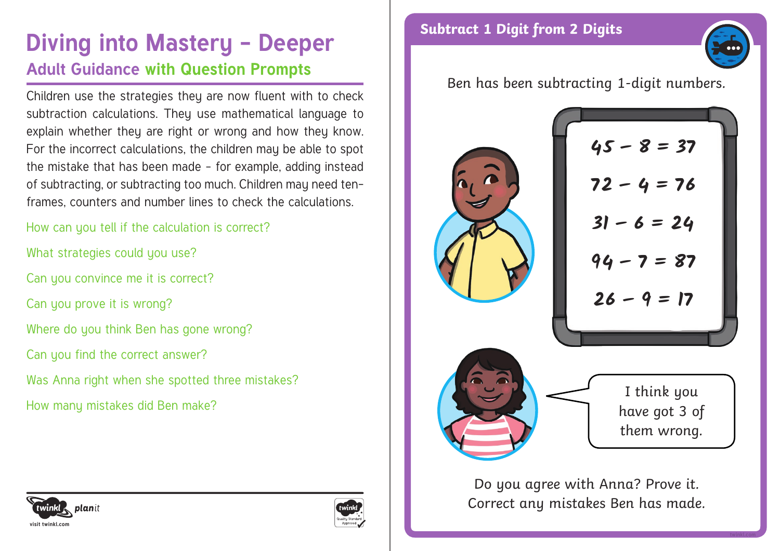# **Diving into Mastery - Deeper** Subtract 1 Digit from 2 Digits **Adult Guidance with Question Prompts**

Children use the strategies they are now fluent with to check subtraction calculations. They use mathematical language to explain whether they are right or wrong and how they know. For the incorrect calculations, the children may be able to spot the mistake that has been made – for example, adding instead of subtracting, or subtracting too much. Children may need tenframes, counters and number lines to check the calculations.

How can you tell if the calculation is correct?

What strategies could you use?

Can you convince me it is correct?

Can you prove it is wrong?

Where do you think Ben has gone wrong?

Can you find the correct answer?

Was Anna right when she spotted three mistakes?

How many mistakes did Ben make?



Ben has been subtracting 1-digit numbers.



**45 – 8 = 37 72 – 4 = 76 31 – 6 = 24 94 – 7 = 87 26 – 9 = 17**



I think you have got 3 of them wrong.

Do you agree with Anna? Prove it. Correct any mistakes Ben has made.